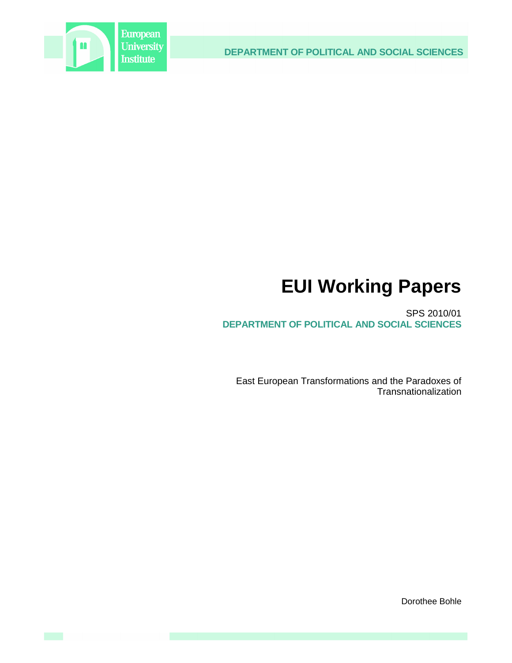

**DEPARTMENT OF POLITICAL AND SOCIAL SCIENCES**

# **EUI Working Papers**

SPS 2010/01 **DEPARTMENT OF POLITICAL AND SOCIAL SCIENCES**

East European Transformations and the Paradoxes of **Transnationalization** 

Dorothee Bohle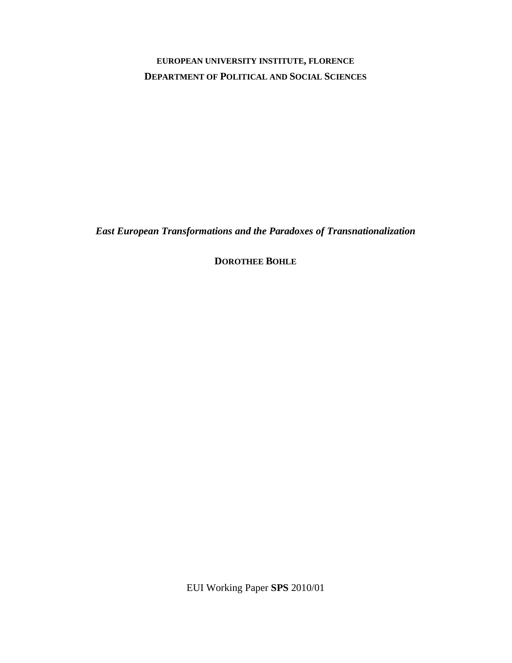# **EUROPEAN UNIVERSITY INSTITUTE, FLORENCE DEPARTMENT OF POLITICAL AND SOCIAL SCIENCES**

*East European Transformations and the Paradoxes of Transnationalization* 

**DOROTHEE BOHLE**

EUI Working Paper **SPS** 2010/01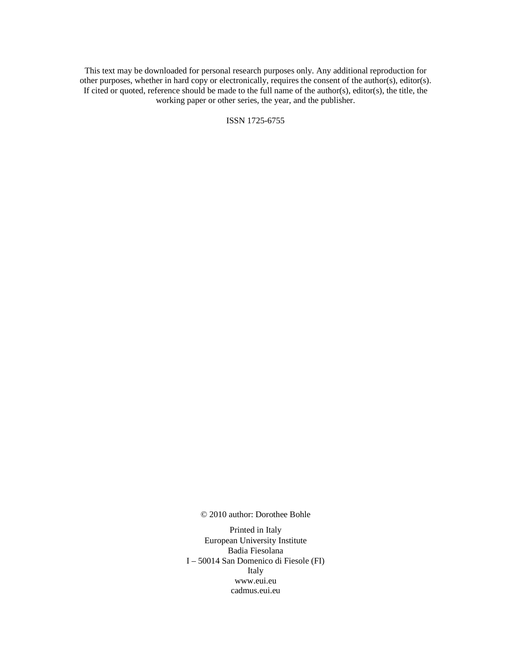This text may be downloaded for personal research purposes only. Any additional reproduction for other purposes, whether in hard copy or electronically, requires the consent of the author(s), editor(s). If cited or quoted, reference should be made to the full name of the author(s), editor(s), the title, the working paper or other series, the year, and the publisher.

ISSN 1725-6755

© 2010 author: Dorothee Bohle

Printed in Italy European University Institute Badia Fiesolana I – 50014 San Domenico di Fiesole (FI) Italy www.eui.eu cadmus.eui.eu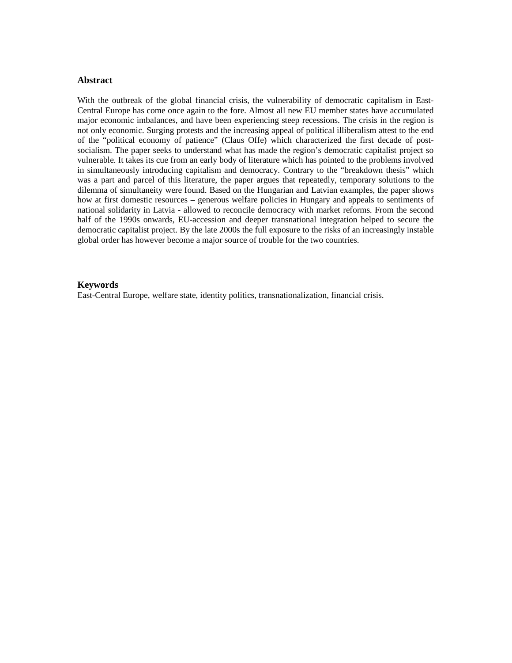## **Abstract**

With the outbreak of the global financial crisis, the vulnerability of democratic capitalism in East-Central Europe has come once again to the fore. Almost all new EU member states have accumulated major economic imbalances, and have been experiencing steep recessions. The crisis in the region is not only economic. Surging protests and the increasing appeal of political illiberalism attest to the end of the "political economy of patience" (Claus Offe) which characterized the first decade of postsocialism. The paper seeks to understand what has made the region's democratic capitalist project so vulnerable. It takes its cue from an early body of literature which has pointed to the problems involved in simultaneously introducing capitalism and democracy. Contrary to the "breakdown thesis" which was a part and parcel of this literature, the paper argues that repeatedly, temporary solutions to the dilemma of simultaneity were found. Based on the Hungarian and Latvian examples, the paper shows how at first domestic resources – generous welfare policies in Hungary and appeals to sentiments of national solidarity in Latvia - allowed to reconcile democracy with market reforms. From the second half of the 1990s onwards, EU-accession and deeper transnational integration helped to secure the democratic capitalist project. By the late 2000s the full exposure to the risks of an increasingly instable global order has however become a major source of trouble for the two countries.

#### **Keywords**

East-Central Europe, welfare state, identity politics, transnationalization, financial crisis.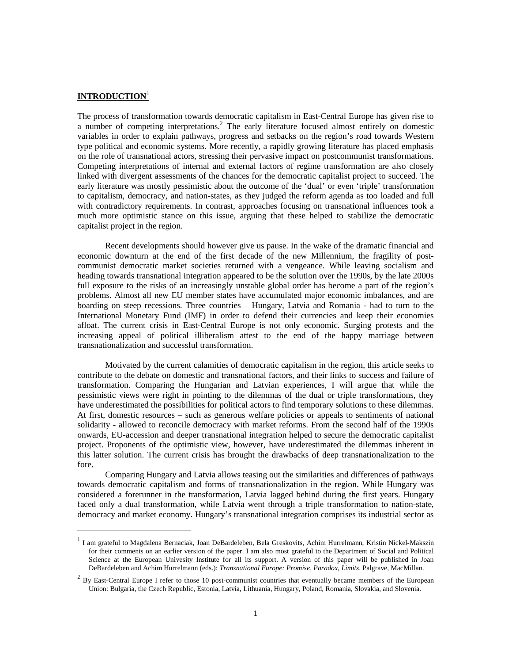# **INTRODUCTION**<sup>1</sup>

l

The process of transformation towards democratic capitalism in East-Central Europe has given rise to a number of competing interpretations.<sup>2</sup> The early literature focused almost entirely on domestic variables in order to explain pathways, progress and setbacks on the region's road towards Western type political and economic systems. More recently, a rapidly growing literature has placed emphasis on the role of transnational actors, stressing their pervasive impact on postcommunist transformations. Competing interpretations of internal and external factors of regime transformation are also closely linked with divergent assessments of the chances for the democratic capitalist project to succeed. The early literature was mostly pessimistic about the outcome of the 'dual' or even 'triple' transformation to capitalism, democracy, and nation-states, as they judged the reform agenda as too loaded and full with contradictory requirements. In contrast, approaches focusing on transnational influences took a much more optimistic stance on this issue, arguing that these helped to stabilize the democratic capitalist project in the region.

Recent developments should however give us pause. In the wake of the dramatic financial and economic downturn at the end of the first decade of the new Millennium, the fragility of postcommunist democratic market societies returned with a vengeance. While leaving socialism and heading towards transnational integration appeared to be the solution over the 1990s, by the late 2000s full exposure to the risks of an increasingly unstable global order has become a part of the region's problems. Almost all new EU member states have accumulated major economic imbalances, and are boarding on steep recessions. Three countries – Hungary, Latvia and Romania - had to turn to the International Monetary Fund (IMF) in order to defend their currencies and keep their economies afloat. The current crisis in East-Central Europe is not only economic. Surging protests and the increasing appeal of political illiberalism attest to the end of the happy marriage between transnationalization and successful transformation.

Motivated by the current calamities of democratic capitalism in the region, this article seeks to contribute to the debate on domestic and transnational factors, and their links to success and failure of transformation. Comparing the Hungarian and Latvian experiences, I will argue that while the pessimistic views were right in pointing to the dilemmas of the dual or triple transformations, they have underestimated the possibilities for political actors to find temporary solutions to these dilemmas. At first, domestic resources – such as generous welfare policies or appeals to sentiments of national solidarity - allowed to reconcile democracy with market reforms. From the second half of the 1990s onwards, EU-accession and deeper transnational integration helped to secure the democratic capitalist project. Proponents of the optimistic view, however, have underestimated the dilemmas inherent in this latter solution. The current crisis has brought the drawbacks of deep transnationalization to the fore.

Comparing Hungary and Latvia allows teasing out the similarities and differences of pathways towards democratic capitalism and forms of transnationalization in the region. While Hungary was considered a forerunner in the transformation, Latvia lagged behind during the first years. Hungary faced only a dual transformation, while Latvia went through a triple transformation to nation-state, democracy and market economy. Hungary's transnational integration comprises its industrial sector as

<sup>&</sup>lt;sup>1</sup> I am grateful to Magdalena Bernaciak, Joan DeBardeleben, Bela Greskovits, Achim Hurrelmann, Kristin Nickel-Makszin for their comments on an earlier version of the paper. I am also most grateful to the Department of Social and Political Science at the European Univesity Institute for all its support. A version of this paper will be published in Joan DeBardeleben and Achim Hurrelmann (eds.): *Transnational Europe: Promise, Paradox, Limits*. Palgrave, MacMillan.

 $2$  By East-Central Europe I refer to those 10 post-communist countries that eventually became members of the European Union: Bulgaria, the Czech Republic, Estonia, Latvia, Lithuania, Hungary, Poland, Romania, Slovakia, and Slovenia.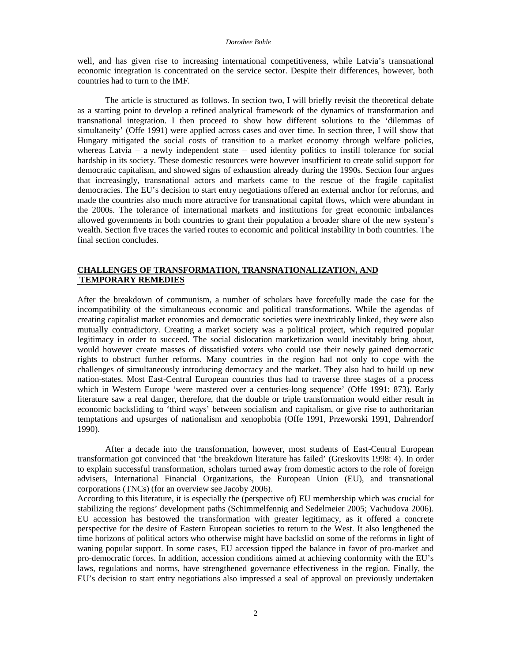#### *Dorothee Bohle*

well, and has given rise to increasing international competitiveness, while Latvia's transnational economic integration is concentrated on the service sector. Despite their differences, however, both countries had to turn to the IMF.

The article is structured as follows. In section two, I will briefly revisit the theoretical debate as a starting point to develop a refined analytical framework of the dynamics of transformation and transnational integration. I then proceed to show how different solutions to the 'dilemmas of simultaneity' (Offe 1991) were applied across cases and over time. In section three, I will show that Hungary mitigated the social costs of transition to a market economy through welfare policies, whereas Latvia – a newly independent state – used identity politics to instill tolerance for social hardship in its society. These domestic resources were however insufficient to create solid support for democratic capitalism, and showed signs of exhaustion already during the 1990s. Section four argues that increasingly, transnational actors and markets came to the rescue of the fragile capitalist democracies. The EU's decision to start entry negotiations offered an external anchor for reforms, and made the countries also much more attractive for transnational capital flows, which were abundant in the 2000s. The tolerance of international markets and institutions for great economic imbalances allowed governments in both countries to grant their population a broader share of the new system's wealth. Section five traces the varied routes to economic and political instability in both countries. The final section concludes.

# **CHALLENGES OF TRANSFORMATION, TRANSNATIONALIZATION, AND TEMPORARY REMEDIES**

After the breakdown of communism, a number of scholars have forcefully made the case for the incompatibility of the simultaneous economic and political transformations. While the agendas of creating capitalist market economies and democratic societies were inextricably linked, they were also mutually contradictory. Creating a market society was a political project, which required popular legitimacy in order to succeed. The social dislocation marketization would inevitably bring about, would however create masses of dissatisfied voters who could use their newly gained democratic rights to obstruct further reforms. Many countries in the region had not only to cope with the challenges of simultaneously introducing democracy and the market. They also had to build up new nation-states. Most East-Central European countries thus had to traverse three stages of a process which in Western Europe 'were mastered over a centuries-long sequence' (Offe 1991: 873). Early literature saw a real danger, therefore, that the double or triple transformation would either result in economic backsliding to 'third ways' between socialism and capitalism, or give rise to authoritarian temptations and upsurges of nationalism and xenophobia (Offe 1991, Przeworski 1991, Dahrendorf 1990).

After a decade into the transformation, however, most students of East-Central European transformation got convinced that 'the breakdown literature has failed' (Greskovits 1998: 4). In order to explain successful transformation, scholars turned away from domestic actors to the role of foreign advisers, International Financial Organizations, the European Union (EU), and transnational corporations (TNCs) (for an overview see Jacoby 2006).

According to this literature, it is especially the (perspective of) EU membership which was crucial for stabilizing the regions' development paths (Schimmelfennig and Sedelmeier 2005; Vachudova 2006). EU accession has bestowed the transformation with greater legitimacy, as it offered a concrete perspective for the desire of Eastern European societies to return to the West. It also lengthened the time horizons of political actors who otherwise might have backslid on some of the reforms in light of waning popular support. In some cases, EU accession tipped the balance in favor of pro-market and pro-democratic forces. In addition, accession conditions aimed at achieving conformity with the EU's laws, regulations and norms, have strengthened governance effectiveness in the region. Finally, the EU's decision to start entry negotiations also impressed a seal of approval on previously undertaken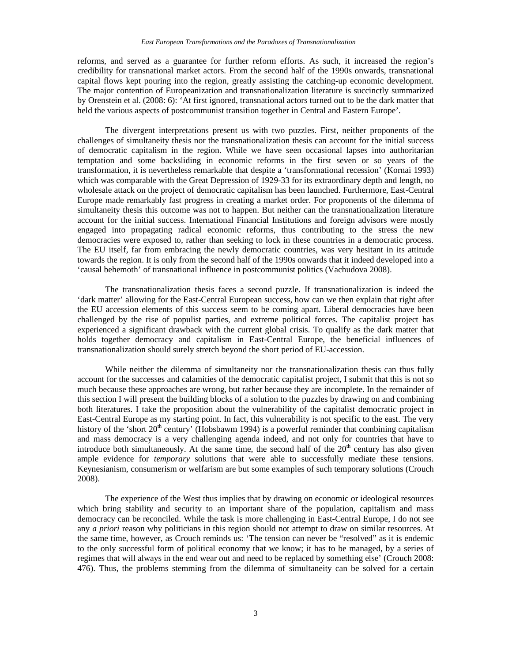reforms, and served as a guarantee for further reform efforts. As such, it increased the region's credibility for transnational market actors. From the second half of the 1990s onwards, transnational capital flows kept pouring into the region, greatly assisting the catching-up economic development. The major contention of Europeanization and transnationalization literature is succinctly summarized by Orenstein et al. (2008: 6): 'At first ignored, transnational actors turned out to be the dark matter that held the various aspects of postcommunist transition together in Central and Eastern Europe'.

The divergent interpretations present us with two puzzles. First, neither proponents of the challenges of simultaneity thesis nor the transnationalization thesis can account for the initial success of democratic capitalism in the region. While we have seen occasional lapses into authoritarian temptation and some backsliding in economic reforms in the first seven or so years of the transformation, it is nevertheless remarkable that despite a 'transformational recession' (Kornai 1993) which was comparable with the Great Depression of 1929-33 for its extraordinary depth and length, no wholesale attack on the project of democratic capitalism has been launched. Furthermore, East-Central Europe made remarkably fast progress in creating a market order. For proponents of the dilemma of simultaneity thesis this outcome was not to happen. But neither can the transnationalization literature account for the initial success. International Financial Institutions and foreign advisors were mostly engaged into propagating radical economic reforms, thus contributing to the stress the new democracies were exposed to, rather than seeking to lock in these countries in a democratic process. The EU itself, far from embracing the newly democratic countries, was very hesitant in its attitude towards the region. It is only from the second half of the 1990s onwards that it indeed developed into a 'causal behemoth' of transnational influence in postcommunist politics (Vachudova 2008).

The transnationalization thesis faces a second puzzle. If transnationalization is indeed the 'dark matter' allowing for the East-Central European success, how can we then explain that right after the EU accession elements of this success seem to be coming apart. Liberal democracies have been challenged by the rise of populist parties, and extreme political forces. The capitalist project has experienced a significant drawback with the current global crisis. To qualify as the dark matter that holds together democracy and capitalism in East-Central Europe, the beneficial influences of transnationalization should surely stretch beyond the short period of EU-accession.

While neither the dilemma of simultaneity nor the transnationalization thesis can thus fully account for the successes and calamities of the democratic capitalist project, I submit that this is not so much because these approaches are wrong, but rather because they are incomplete. In the remainder of this section I will present the building blocks of a solution to the puzzles by drawing on and combining both literatures. I take the proposition about the vulnerability of the capitalist democratic project in East-Central Europe as my starting point. In fact, this vulnerability is not specific to the east. The very history of the 'short 20<sup>th</sup> century' (Hobsbawm 1994) is a powerful reminder that combining capitalism and mass democracy is a very challenging agenda indeed, and not only for countries that have to introduce both simultaneously. At the same time, the second half of the  $20<sup>th</sup>$  century has also given ample evidence for *temporary* solutions that were able to successfully mediate these tensions. Keynesianism, consumerism or welfarism are but some examples of such temporary solutions (Crouch 2008).

The experience of the West thus implies that by drawing on economic or ideological resources which bring stability and security to an important share of the population, capitalism and mass democracy can be reconciled. While the task is more challenging in East-Central Europe, I do not see any *a priori* reason why politicians in this region should not attempt to draw on similar resources. At the same time, however, as Crouch reminds us: 'The tension can never be "resolved" as it is endemic to the only successful form of political economy that we know; it has to be managed, by a series of regimes that will always in the end wear out and need to be replaced by something else' (Crouch 2008: 476). Thus, the problems stemming from the dilemma of simultaneity can be solved for a certain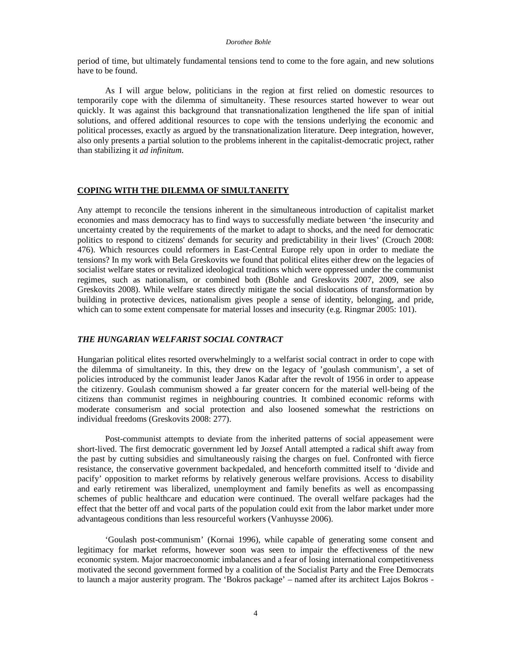period of time, but ultimately fundamental tensions tend to come to the fore again, and new solutions have to be found.

As I will argue below, politicians in the region at first relied on domestic resources to temporarily cope with the dilemma of simultaneity. These resources started however to wear out quickly. It was against this background that transnationalization lengthened the life span of initial solutions, and offered additional resources to cope with the tensions underlying the economic and political processes, exactly as argued by the transnationalization literature. Deep integration, however, also only presents a partial solution to the problems inherent in the capitalist-democratic project, rather than stabilizing it *ad infinitum*.

## **COPING WITH THE DILEMMA OF SIMULTANEITY**

Any attempt to reconcile the tensions inherent in the simultaneous introduction of capitalist market economies and mass democracy has to find ways to successfully mediate between 'the insecurity and uncertainty created by the requirements of the market to adapt to shocks, and the need for democratic politics to respond to citizens' demands for security and predictability in their lives' (Crouch 2008: 476). Which resources could reformers in East-Central Europe rely upon in order to mediate the tensions? In my work with Bela Greskovits we found that political elites either drew on the legacies of socialist welfare states or revitalized ideological traditions which were oppressed under the communist regimes, such as nationalism, or combined both (Bohle and Greskovits 2007, 2009, see also Greskovits 2008). While welfare states directly mitigate the social dislocations of transformation by building in protective devices, nationalism gives people a sense of identity, belonging, and pride, which can to some extent compensate for material losses and insecurity (e.g. Ringmar 2005: 101).

#### *THE HUNGARIAN WELFARIST SOCIAL CONTRACT*

Hungarian political elites resorted overwhelmingly to a welfarist social contract in order to cope with the dilemma of simultaneity. In this, they drew on the legacy of 'goulash communism', a set of policies introduced by the communist leader Janos Kadar after the revolt of 1956 in order to appease the citizenry. Goulash communism showed a far greater concern for the material well-being of the citizens than communist regimes in neighbouring countries. It combined economic reforms with moderate consumerism and social protection and also loosened somewhat the restrictions on individual freedoms (Greskovits 2008: 277).

Post-communist attempts to deviate from the inherited patterns of social appeasement were short-lived. The first democratic government led by Jozsef Antall attempted a radical shift away from the past by cutting subsidies and simultaneously raising the charges on fuel. Confronted with fierce resistance, the conservative government backpedaled, and henceforth committed itself to 'divide and pacify' opposition to market reforms by relatively generous welfare provisions. Access to disability and early retirement was liberalized, unemployment and family benefits as well as encompassing schemes of public healthcare and education were continued. The overall welfare packages had the effect that the better off and vocal parts of the population could exit from the labor market under more advantageous conditions than less resourceful workers (Vanhuysse 2006).

'Goulash post-communism' (Kornai 1996), while capable of generating some consent and legitimacy for market reforms, however soon was seen to impair the effectiveness of the new economic system. Major macroeconomic imbalances and a fear of losing international competitiveness motivated the second government formed by a coalition of the Socialist Party and the Free Democrats to launch a major austerity program. The 'Bokros package' – named after its architect Lajos Bokros -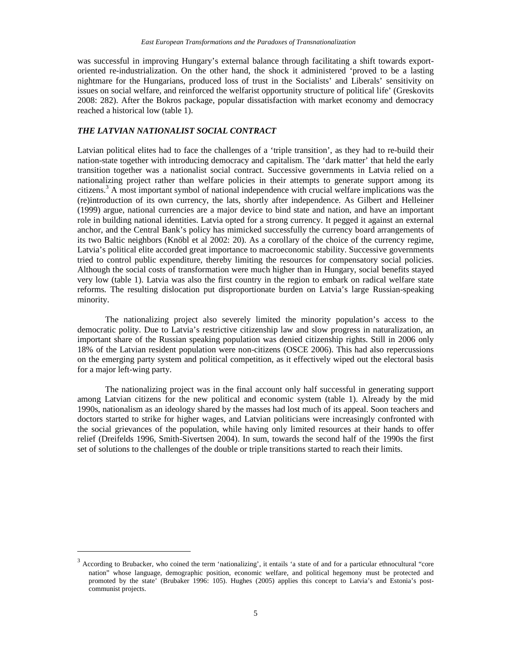was successful in improving Hungary's external balance through facilitating a shift towards exportoriented re-industrialization. On the other hand, the shock it administered 'proved to be a lasting nightmare for the Hungarians, produced loss of trust in the Socialists' and Liberals' sensitivity on issues on social welfare, and reinforced the welfarist opportunity structure of political life' (Greskovits 2008: 282). After the Bokros package, popular dissatisfaction with market economy and democracy reached a historical low (table 1).

### *THE LATVIAN NATIONALIST SOCIAL CONTRACT*

 $\overline{a}$ 

Latvian political elites had to face the challenges of a 'triple transition', as they had to re-build their nation-state together with introducing democracy and capitalism. The 'dark matter' that held the early transition together was a nationalist social contract. Successive governments in Latvia relied on a nationalizing project rather than welfare policies in their attempts to generate support among its citizens.<sup>3</sup> A most important symbol of national independence with crucial welfare implications was the (re)introduction of its own currency, the lats, shortly after independence. As Gilbert and Helleiner (1999) argue, national currencies are a major device to bind state and nation, and have an important role in building national identities. Latvia opted for a strong currency. It pegged it against an external anchor, and the Central Bank's policy has mimicked successfully the currency board arrangements of its two Baltic neighbors (Knöbl et al 2002: 20). As a corollary of the choice of the currency regime, Latvia's political elite accorded great importance to macroeconomic stability. Successive governments tried to control public expenditure, thereby limiting the resources for compensatory social policies. Although the social costs of transformation were much higher than in Hungary, social benefits stayed very low (table 1). Latvia was also the first country in the region to embark on radical welfare state reforms. The resulting dislocation put disproportionate burden on Latvia's large Russian-speaking minority.

The nationalizing project also severely limited the minority population's access to the democratic polity. Due to Latvia's restrictive citizenship law and slow progress in naturalization, an important share of the Russian speaking population was denied citizenship rights. Still in 2006 only 18% of the Latvian resident population were non-citizens (OSCE 2006). This had also repercussions on the emerging party system and political competition, as it effectively wiped out the electoral basis for a major left-wing party.

The nationalizing project was in the final account only half successful in generating support among Latvian citizens for the new political and economic system (table 1). Already by the mid 1990s, nationalism as an ideology shared by the masses had lost much of its appeal. Soon teachers and doctors started to strike for higher wages, and Latvian politicians were increasingly confronted with the social grievances of the population, while having only limited resources at their hands to offer relief (Dreifelds 1996, Smith-Sivertsen 2004). In sum, towards the second half of the 1990s the first set of solutions to the challenges of the double or triple transitions started to reach their limits.

 $3$  According to Brubacker, who coined the term 'nationalizing', it entails 'a state of and for a particular ethnocultural "core nation" whose language, demographic position, economic welfare, and political hegemony must be protected and promoted by the state' (Brubaker 1996: 105). Hughes (2005) applies this concept to Latvia's and Estonia's postcommunist projects.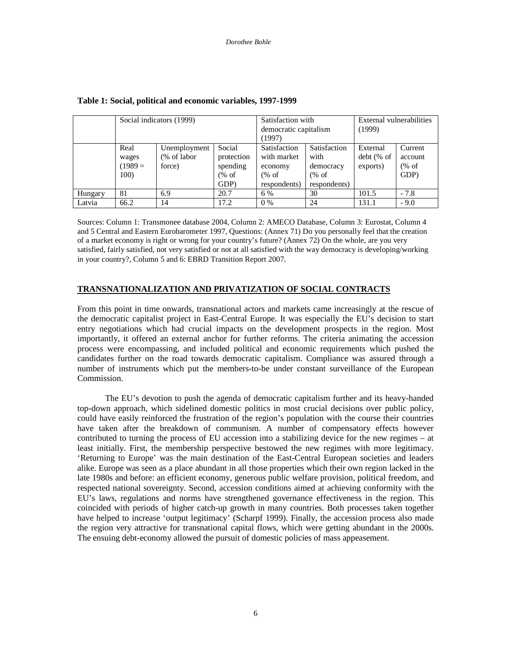|         | Social indicators (1999)                      |                                       |                                                  | Satisfaction with<br>democratic capitalism<br>(1997)             |                                                           | External vulnerabilities<br>(1999)   |                                    |
|---------|-----------------------------------------------|---------------------------------------|--------------------------------------------------|------------------------------------------------------------------|-----------------------------------------------------------|--------------------------------------|------------------------------------|
|         | Real<br>wages<br>$(1989=$<br>100 <sup>o</sup> | Unemployment<br>(% of labor<br>force) | Social<br>protection<br>spending<br>% of<br>GDP) | Satisfaction<br>with market<br>economy<br>$%$ of<br>respondents) | Satisfaction<br>with<br>democracy<br>% of<br>respondents) | External<br>$debt$ (% of<br>exports) | Current<br>account<br>% of<br>GDP) |
| Hungary | 81                                            | 6.9                                   | 20.7                                             | 6 %                                                              | 30                                                        | 101.5                                | $-7.8$                             |
| Latvia  | 66.2                                          | 14                                    | 17.2                                             | $0\%$                                                            | 24                                                        | 131.1                                | $-9.0$                             |

#### **Table 1: Social, political and economic variables, 1997-1999**

Sources: Column 1: Transmonee database 2004, Column 2: AMECO Database, Column 3: Eurostat, Column 4 and 5 Central and Eastern Eurobarometer 1997, Questions: (Annex 71) Do you personally feel that the creation of a market economy is right or wrong for your country's future? (Annex 72) On the whole, are you very satisfied, fairly satisfied, not very satisfied or not at all satisfied with the way democracy is developing/working in your country?, Column 5 and 6: EBRD Transition Report 2007.

#### **TRANSNATIONALIZATION AND PRIVATIZATION OF SOCIAL CONTRACTS**

From this point in time onwards, transnational actors and markets came increasingly at the rescue of the democratic capitalist project in East-Central Europe. It was especially the EU's decision to start entry negotiations which had crucial impacts on the development prospects in the region. Most importantly, it offered an external anchor for further reforms. The criteria animating the accession process were encompassing, and included political and economic requirements which pushed the candidates further on the road towards democratic capitalism. Compliance was assured through a number of instruments which put the members-to-be under constant surveillance of the European Commission.

The EU's devotion to push the agenda of democratic capitalism further and its heavy-handed top-down approach, which sidelined domestic politics in most crucial decisions over public policy, could have easily reinforced the frustration of the region's population with the course their countries have taken after the breakdown of communism. A number of compensatory effects however contributed to turning the process of EU accession into a stabilizing device for the new regimes – at least initially. First, the membership perspective bestowed the new regimes with more legitimacy. 'Returning to Europe' was the main destination of the East-Central European societies and leaders alike. Europe was seen as a place abundant in all those properties which their own region lacked in the late 1980s and before: an efficient economy, generous public welfare provision, political freedom, and respected national sovereignty. Second, accession conditions aimed at achieving conformity with the EU's laws, regulations and norms have strengthened governance effectiveness in the region. This coincided with periods of higher catch-up growth in many countries. Both processes taken together have helped to increase 'output legitimacy' (Scharpf 1999). Finally, the accession process also made the region very attractive for transnational capital flows, which were getting abundant in the 2000s. The ensuing debt-economy allowed the pursuit of domestic policies of mass appeasement.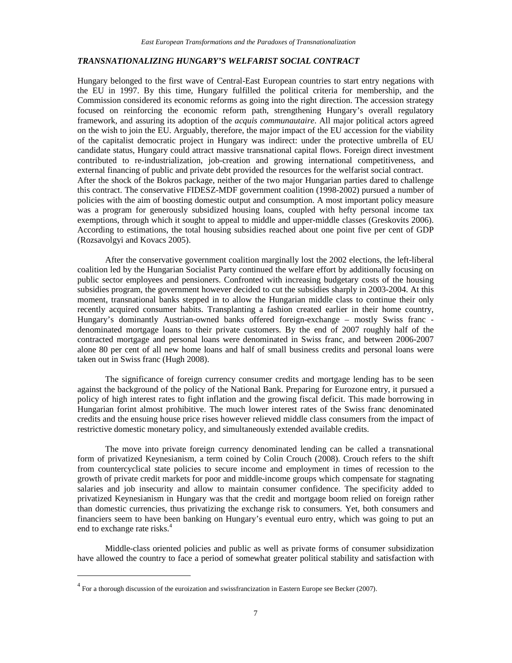### *TRANSNATIONALIZING HUNGARY'S WELFARIST SOCIAL CONTRACT*

Hungary belonged to the first wave of Central-East European countries to start entry negations with the EU in 1997. By this time, Hungary fulfilled the political criteria for membership, and the Commission considered its economic reforms as going into the right direction. The accession strategy focused on reinforcing the economic reform path, strengthening Hungary's overall regulatory framework, and assuring its adoption of the *acquis communautaire*. All major political actors agreed on the wish to join the EU. Arguably, therefore, the major impact of the EU accession for the viability of the capitalist democratic project in Hungary was indirect: under the protective umbrella of EU candidate status, Hungary could attract massive transnational capital flows. Foreign direct investment contributed to re-industrialization, job-creation and growing international competitiveness, and external financing of public and private debt provided the resources for the welfarist social contract. After the shock of the Bokros package, neither of the two major Hungarian parties dared to challenge this contract. The conservative FIDESZ-MDF government coalition (1998-2002) pursued a number of policies with the aim of boosting domestic output and consumption. A most important policy measure was a program for generously subsidized housing loans, coupled with hefty personal income tax exemptions, through which it sought to appeal to middle and upper-middle classes (Greskovits 2006). According to estimations, the total housing subsidies reached about one point five per cent of GDP (Rozsavolgyi and Kovacs 2005).

After the conservative government coalition marginally lost the 2002 elections, the left-liberal coalition led by the Hungarian Socialist Party continued the welfare effort by additionally focusing on public sector employees and pensioners. Confronted with increasing budgetary costs of the housing subsidies program, the government however decided to cut the subsidies sharply in 2003-2004. At this moment, transnational banks stepped in to allow the Hungarian middle class to continue their only recently acquired consumer habits. Transplanting a fashion created earlier in their home country, Hungary's dominantly Austrian-owned banks offered foreign-exchange – mostly Swiss franc denominated mortgage loans to their private customers. By the end of 2007 roughly half of the contracted mortgage and personal loans were denominated in Swiss franc, and between 2006-2007 alone 80 per cent of all new home loans and half of small business credits and personal loans were taken out in Swiss franc (Hugh 2008).

The significance of foreign currency consumer credits and mortgage lending has to be seen against the background of the policy of the National Bank. Preparing for Eurozone entry, it pursued a policy of high interest rates to fight inflation and the growing fiscal deficit. This made borrowing in Hungarian forint almost prohibitive. The much lower interest rates of the Swiss franc denominated credits and the ensuing house price rises however relieved middle class consumers from the impact of restrictive domestic monetary policy, and simultaneously extended available credits.

The move into private foreign currency denominated lending can be called a transnational form of privatized Keynesianism, a term coined by Colin Crouch (2008). Crouch refers to the shift from countercyclical state policies to secure income and employment in times of recession to the growth of private credit markets for poor and middle-income groups which compensate for stagnating salaries and job insecurity and allow to maintain consumer confidence. The specificity added to privatized Keynesianism in Hungary was that the credit and mortgage boom relied on foreign rather than domestic currencies, thus privatizing the exchange risk to consumers. Yet, both consumers and financiers seem to have been banking on Hungary's eventual euro entry, which was going to put an end to exchange rate risks.<sup>4</sup>

Middle-class oriented policies and public as well as private forms of consumer subsidization have allowed the country to face a period of somewhat greater political stability and satisfaction with

 $\overline{a}$ 

 $4$  For a thorough discussion of the euroization and swissfrancization in Eastern Europe see Becker (2007).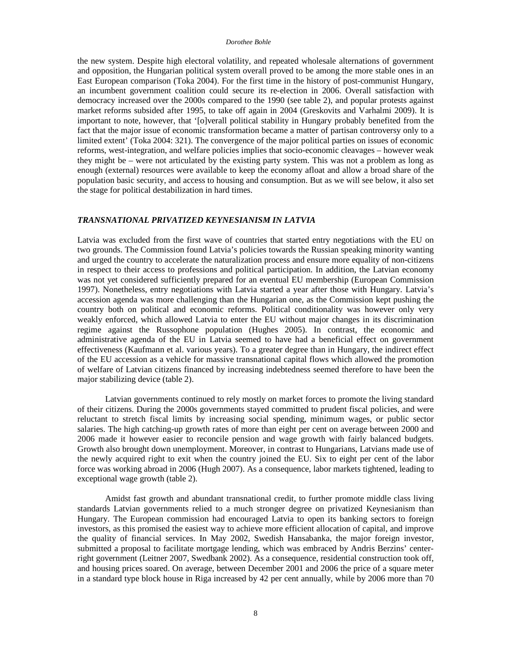#### *Dorothee Bohle*

the new system. Despite high electoral volatility, and repeated wholesale alternations of government and opposition, the Hungarian political system overall proved to be among the more stable ones in an East European comparison (Toka 2004). For the first time in the history of post-communist Hungary, an incumbent government coalition could secure its re-election in 2006. Overall satisfaction with democracy increased over the 2000s compared to the 1990 (see table 2), and popular protests against market reforms subsided after 1995, to take off again in 2004 (Greskovits and Varhalmi 2009). It is important to note, however, that '[o]verall political stability in Hungary probably benefited from the fact that the major issue of economic transformation became a matter of partisan controversy only to a limited extent' (Toka 2004: 321). The convergence of the major political parties on issues of economic reforms, west-integration, and welfare policies implies that socio-economic cleavages – however weak they might be – were not articulated by the existing party system. This was not a problem as long as enough (external) resources were available to keep the economy afloat and allow a broad share of the population basic security, and access to housing and consumption. But as we will see below, it also set the stage for political destabilization in hard times.

#### *TRANSNATIONAL PRIVATIZED KEYNESIANISM IN LATVIA*

Latvia was excluded from the first wave of countries that started entry negotiations with the EU on two grounds. The Commission found Latvia's policies towards the Russian speaking minority wanting and urged the country to accelerate the naturalization process and ensure more equality of non-citizens in respect to their access to professions and political participation. In addition, the Latvian economy was not yet considered sufficiently prepared for an eventual EU membership (European Commission 1997). Nonetheless, entry negotiations with Latvia started a year after those with Hungary. Latvia's accession agenda was more challenging than the Hungarian one, as the Commission kept pushing the country both on political and economic reforms. Political conditionality was however only very weakly enforced, which allowed Latvia to enter the EU without major changes in its discrimination regime against the Russophone population (Hughes 2005). In contrast, the economic and administrative agenda of the EU in Latvia seemed to have had a beneficial effect on government effectiveness (Kaufmann et al. various years). To a greater degree than in Hungary, the indirect effect of the EU accession as a vehicle for massive transnational capital flows which allowed the promotion of welfare of Latvian citizens financed by increasing indebtedness seemed therefore to have been the major stabilizing device (table 2).

Latvian governments continued to rely mostly on market forces to promote the living standard of their citizens. During the 2000s governments stayed committed to prudent fiscal policies, and were reluctant to stretch fiscal limits by increasing social spending, minimum wages, or public sector salaries. The high catching-up growth rates of more than eight per cent on average between 2000 and 2006 made it however easier to reconcile pension and wage growth with fairly balanced budgets. Growth also brought down unemployment. Moreover, in contrast to Hungarians, Latvians made use of the newly acquired right to exit when the country joined the EU. Six to eight per cent of the labor force was working abroad in 2006 (Hugh 2007). As a consequence, labor markets tightened, leading to exceptional wage growth (table 2).

Amidst fast growth and abundant transnational credit, to further promote middle class living standards Latvian governments relied to a much stronger degree on privatized Keynesianism than Hungary. The European commission had encouraged Latvia to open its banking sectors to foreign investors, as this promised the easiest way to achieve more efficient allocation of capital, and improve the quality of financial services. In May 2002, Swedish Hansabanka, the major foreign investor, submitted a proposal to facilitate mortgage lending, which was embraced by Andris Berzins' centerright government (Leitner 2007, Swedbank 2002). As a consequence, residential construction took off, and housing prices soared. On average, between December 2001 and 2006 the price of a square meter in a standard type block house in Riga increased by 42 per cent annually, while by 2006 more than 70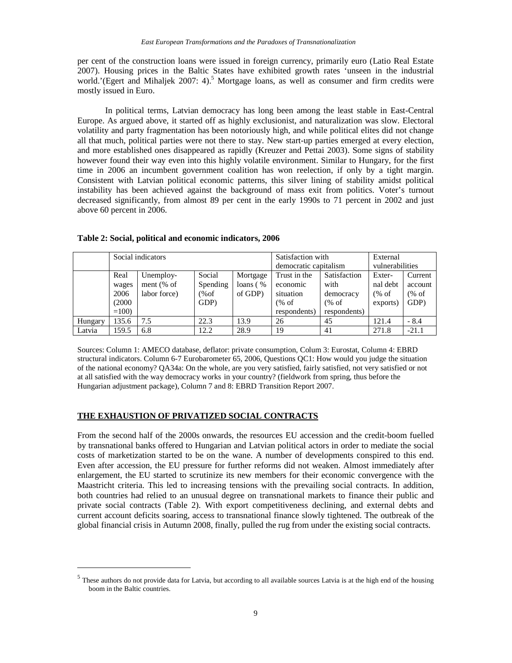per cent of the construction loans were issued in foreign currency, primarily euro (Latio Real Estate 2007). Housing prices in the Baltic States have exhibited growth rates 'unseen in the industrial world.'(Egert and Mihaljek 2007: 4).<sup>5</sup> Mortgage loans, as well as consumer and firm credits were mostly issued in Euro.

In political terms, Latvian democracy has long been among the least stable in East-Central Europe. As argued above, it started off as highly exclusionist, and naturalization was slow. Electoral volatility and party fragmentation has been notoriously high, and while political elites did not change all that much, political parties were not there to stay. New start-up parties emerged at every election, and more established ones disappeared as rapidly (Kreuzer and Pettai 2003). Some signs of stability however found their way even into this highly volatile environment. Similar to Hungary, for the first time in 2006 an incumbent government coalition has won reelection, if only by a tight margin. Consistent with Latvian political economic patterns, this silver lining of stability amidst political instability has been achieved against the background of mass exit from politics. Voter's turnout decreased significantly, from almost 89 per cent in the early 1990s to 71 percent in 2002 and just above 60 percent in 2006.

|         |        | Social indicators |          |             | Satisfaction with     |              | External        |         |
|---------|--------|-------------------|----------|-------------|-----------------------|--------------|-----------------|---------|
|         |        |                   |          |             | democratic capitalism |              | vulnerabilities |         |
|         | Real   | Unemploy-         | Social   | Mortgage    | Trust in the          | Satisfaction | Exter-          | Current |
|         | wages  | ment $%$ of       | Spending | loans $( %$ | economic              | with         | nal debt        | account |
|         | 2006   | labor force)      | % of     | of GDP)     | situation             | democracy    | (% of           | % of    |
|         | (2000) |                   | GDP)     |             | (% of                 | % of         | exports)        | GDP)    |
|         | $=100$ |                   |          |             | respondents)          | respondents) |                 |         |
| Hungary | 135.6  | 7.5               | 22.3     | 13.9        | 26                    | 45           | 121.4           | $-8.4$  |
| Latvia  | 159.5  | 6.8               | 12.2     | 28.9        | 19                    | 41           | 271.8           | $-21.1$ |

**Table 2: Social, political and economic indicators, 2006** 

Sources: Column 1: AMECO database, deflator: private consumption, Colum 3: Eurostat, Column 4: EBRD structural indicators. Column 6-7 Eurobarometer 65, 2006, Questions QC1: How would you judge the situation of the national economy? QA34a: On the whole, are you very satisfied, fairly satisfied, not very satisfied or not at all satisfied with the way democracy works in your country? (fieldwork from spring, thus before the Hungarian adjustment package), Column 7 and 8: EBRD Transition Report 2007.

### **THE EXHAUSTION OF PRIVATIZED SOCIAL CONTRACTS**

 $\overline{a}$ 

From the second half of the 2000s onwards, the resources EU accession and the credit-boom fuelled by transnational banks offered to Hungarian and Latvian political actors in order to mediate the social costs of marketization started to be on the wane. A number of developments conspired to this end. Even after accession, the EU pressure for further reforms did not weaken. Almost immediately after enlargement, the EU started to scrutinize its new members for their economic convergence with the Maastricht criteria. This led to increasing tensions with the prevailing social contracts. In addition, both countries had relied to an unusual degree on transnational markets to finance their public and private social contracts (Table 2). With export competitiveness declining, and external debts and current account deficits soaring, access to transnational finance slowly tightened. The outbreak of the global financial crisis in Autumn 2008, finally, pulled the rug from under the existing social contracts.

<sup>&</sup>lt;sup>5</sup> These authors do not provide data for Latvia, but according to all available sources Latvia is at the high end of the housing boom in the Baltic countries.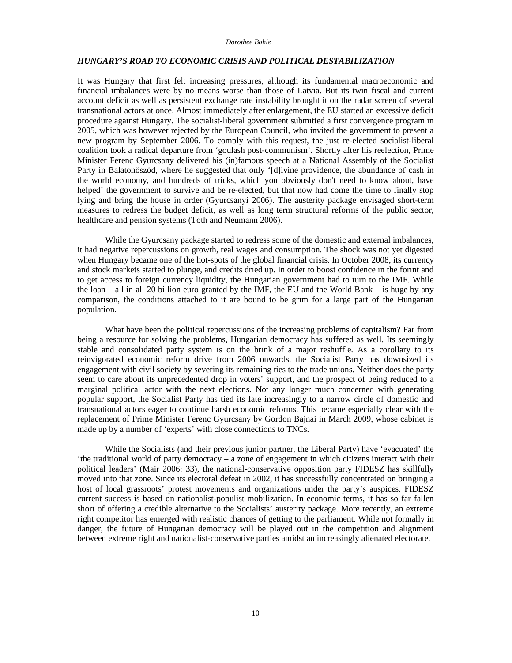#### *Dorothee Bohle*

#### *HUNGARY'S ROAD TO ECONOMIC CRISIS AND POLITICAL DESTABILIZATION*

It was Hungary that first felt increasing pressures, although its fundamental macroeconomic and financial imbalances were by no means worse than those of Latvia. But its twin fiscal and current account deficit as well as persistent exchange rate instability brought it on the radar screen of several transnational actors at once. Almost immediately after enlargement, the EU started an excessive deficit procedure against Hungary. The socialist-liberal government submitted a first convergence program in 2005, which was however rejected by the European Council, who invited the government to present a new program by September 2006. To comply with this request, the just re-elected socialist-liberal coalition took a radical departure from 'goulash post-communism'. Shortly after his reelection, Prime Minister Ferenc Gyurcsany delivered his (in)famous speech at a National Assembly of the Socialist Party in Balatonöszöd, where he suggested that only '[d]ivine providence, the abundance of cash in the world economy, and hundreds of tricks, which you obviously don't need to know about, have helped' the government to survive and be re-elected, but that now had come the time to finally stop lying and bring the house in order (Gyurcsanyi 2006). The austerity package envisaged short-term measures to redress the budget deficit, as well as long term structural reforms of the public sector, healthcare and pension systems (Toth and Neumann 2006).

While the Gyurcsany package started to redress some of the domestic and external imbalances, it had negative repercussions on growth, real wages and consumption. The shock was not yet digested when Hungary became one of the hot-spots of the global financial crisis. In October 2008, its currency and stock markets started to plunge, and credits dried up. In order to boost confidence in the forint and to get access to foreign currency liquidity, the Hungarian government had to turn to the IMF. While the loan – all in all 20 billion euro granted by the IMF, the EU and the World Bank – is huge by any comparison, the conditions attached to it are bound to be grim for a large part of the Hungarian population.

What have been the political repercussions of the increasing problems of capitalism? Far from being a resource for solving the problems, Hungarian democracy has suffered as well. Its seemingly stable and consolidated party system is on the brink of a major reshuffle. As a corollary to its reinvigorated economic reform drive from 2006 onwards, the Socialist Party has downsized its engagement with civil society by severing its remaining ties to the trade unions. Neither does the party seem to care about its unprecedented drop in voters' support, and the prospect of being reduced to a marginal political actor with the next elections. Not any longer much concerned with generating popular support, the Socialist Party has tied its fate increasingly to a narrow circle of domestic and transnational actors eager to continue harsh economic reforms. This became especially clear with the replacement of Prime Minister Ferenc Gyurcsany by Gordon Bajnai in March 2009, whose cabinet is made up by a number of 'experts' with close connections to TNCs.

While the Socialists (and their previous junior partner, the Liberal Party) have 'evacuated' the 'the traditional world of party democracy – a zone of engagement in which citizens interact with their political leaders' (Mair 2006: 33), the national-conservative opposition party FIDESZ has skillfully moved into that zone. Since its electoral defeat in 2002, it has successfully concentrated on bringing a host of local grassroots' protest movements and organizations under the party's auspices. FIDESZ current success is based on nationalist-populist mobilization. In economic terms, it has so far fallen short of offering a credible alternative to the Socialists' austerity package. More recently, an extreme right competitor has emerged with realistic chances of getting to the parliament. While not formally in danger, the future of Hungarian democracy will be played out in the competition and alignment between extreme right and nationalist-conservative parties amidst an increasingly alienated electorate.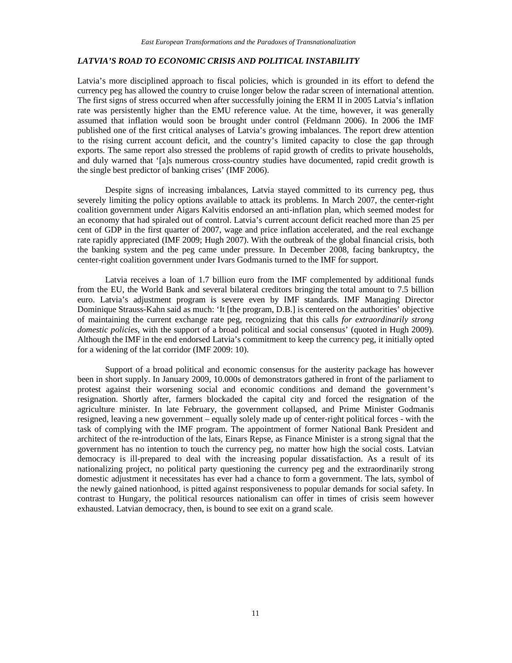# *LATVIA'S ROAD TO ECONOMIC CRISIS AND POLITICAL INSTABILITY*

Latvia's more disciplined approach to fiscal policies, which is grounded in its effort to defend the currency peg has allowed the country to cruise longer below the radar screen of international attention. The first signs of stress occurred when after successfully joining the ERM II in 2005 Latvia's inflation rate was persistently higher than the EMU reference value. At the time, however, it was generally assumed that inflation would soon be brought under control (Feldmann 2006). In 2006 the IMF published one of the first critical analyses of Latvia's growing imbalances. The report drew attention to the rising current account deficit, and the country's limited capacity to close the gap through exports. The same report also stressed the problems of rapid growth of credits to private households, and duly warned that '[a]s numerous cross-country studies have documented, rapid credit growth is the single best predictor of banking crises' (IMF 2006).

Despite signs of increasing imbalances, Latvia stayed committed to its currency peg, thus severely limiting the policy options available to attack its problems. In March 2007, the center-right coalition government under Aigars Kalvitis endorsed an anti-inflation plan, which seemed modest for an economy that had spiraled out of control. Latvia's current account deficit reached more than 25 per cent of GDP in the first quarter of 2007, wage and price inflation accelerated, and the real exchange rate rapidly appreciated (IMF 2009; Hugh 2007). With the outbreak of the global financial crisis, both the banking system and the peg came under pressure. In December 2008, facing bankruptcy, the center-right coalition government under Ivars Godmanis turned to the IMF for support.

Latvia receives a loan of 1.7 billion euro from the IMF complemented by additional funds from the EU, the World Bank and several bilateral creditors bringing the total amount to 7.5 billion euro. Latvia's adjustment program is severe even by IMF standards. IMF Managing Director Dominique Strauss-Kahn said as much: 'It [the program, D.B.] is centered on the authorities' objective of maintaining the current exchange rate peg, recognizing that this calls *for extraordinarily strong domestic policies*, with the support of a broad political and social consensus' (quoted in Hugh 2009). Although the IMF in the end endorsed Latvia's commitment to keep the currency peg, it initially opted for a widening of the lat corridor (IMF 2009: 10).

Support of a broad political and economic consensus for the austerity package has however been in short supply. In January 2009, 10.000s of demonstrators gathered in front of the parliament to protest against their worsening social and economic conditions and demand the government's resignation. Shortly after, farmers blockaded the capital city and forced the resignation of the agriculture minister. In late February, the government collapsed, and Prime Minister Godmanis resigned, leaving a new government – equally solely made up of center-right political forces - with the task of complying with the IMF program. The appointment of former National Bank President and architect of the re-introduction of the lats, Einars Repse, as Finance Minister is a strong signal that the government has no intention to touch the currency peg, no matter how high the social costs. Latvian democracy is ill-prepared to deal with the increasing popular dissatisfaction. As a result of its nationalizing project, no political party questioning the currency peg and the extraordinarily strong domestic adjustment it necessitates has ever had a chance to form a government. The lats, symbol of the newly gained nationhood, is pitted against responsiveness to popular demands for social safety. In contrast to Hungary, the political resources nationalism can offer in times of crisis seem however exhausted. Latvian democracy, then, is bound to see exit on a grand scale.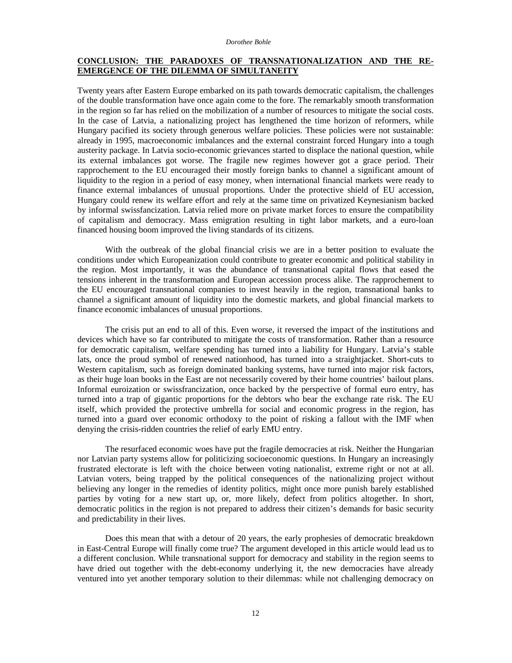#### **CONCLUSION: THE PARADOXES OF TRANSNATIONALIZATION AND THE RE-EMERGENCE OF THE DILEMMA OF SIMULTANEITY**

Twenty years after Eastern Europe embarked on its path towards democratic capitalism, the challenges of the double transformation have once again come to the fore. The remarkably smooth transformation in the region so far has relied on the mobilization of a number of resources to mitigate the social costs. In the case of Latvia, a nationalizing project has lengthened the time horizon of reformers, while Hungary pacified its society through generous welfare policies. These policies were not sustainable: already in 1995, macroeconomic imbalances and the external constraint forced Hungary into a tough austerity package. In Latvia socio-economic grievances started to displace the national question, while its external imbalances got worse. The fragile new regimes however got a grace period. Their rapprochement to the EU encouraged their mostly foreign banks to channel a significant amount of liquidity to the region in a period of easy money, when international financial markets were ready to finance external imbalances of unusual proportions. Under the protective shield of EU accession, Hungary could renew its welfare effort and rely at the same time on privatized Keynesianism backed by informal swissfancization*.* Latvia relied more on private market forces to ensure the compatibility of capitalism and democracy. Mass emigration resulting in tight labor markets, and a euro-loan financed housing boom improved the living standards of its citizens.

With the outbreak of the global financial crisis we are in a better position to evaluate the conditions under which Europeanization could contribute to greater economic and political stability in the region. Most importantly, it was the abundance of transnational capital flows that eased the tensions inherent in the transformation and European accession process alike. The rapprochement to the EU encouraged transnational companies to invest heavily in the region, transnational banks to channel a significant amount of liquidity into the domestic markets, and global financial markets to finance economic imbalances of unusual proportions.

The crisis put an end to all of this. Even worse, it reversed the impact of the institutions and devices which have so far contributed to mitigate the costs of transformation. Rather than a resource for democratic capitalism, welfare spending has turned into a liability for Hungary. Latvia's stable lats, once the proud symbol of renewed nationhood, has turned into a straightjacket. Short-cuts to Western capitalism, such as foreign dominated banking systems, have turned into major risk factors, as their huge loan books in the East are not necessarily covered by their home countries' bailout plans. Informal euroization or swissfrancization, once backed by the perspective of formal euro entry, has turned into a trap of gigantic proportions for the debtors who bear the exchange rate risk. The EU itself, which provided the protective umbrella for social and economic progress in the region, has turned into a guard over economic orthodoxy to the point of risking a fallout with the IMF when denying the crisis-ridden countries the relief of early EMU entry.

The resurfaced economic woes have put the fragile democracies at risk. Neither the Hungarian nor Latvian party systems allow for politicizing socioeconomic questions. In Hungary an increasingly frustrated electorate is left with the choice between voting nationalist, extreme right or not at all. Latvian voters, being trapped by the political consequences of the nationalizing project without believing any longer in the remedies of identity politics, might once more punish barely established parties by voting for a new start up, or, more likely, defect from politics altogether. In short, democratic politics in the region is not prepared to address their citizen's demands for basic security and predictability in their lives.

Does this mean that with a detour of 20 years, the early prophesies of democratic breakdown in East-Central Europe will finally come true? The argument developed in this article would lead us to a different conclusion. While transnational support for democracy and stability in the region seems to have dried out together with the debt-economy underlying it, the new democracies have already ventured into yet another temporary solution to their dilemmas: while not challenging democracy on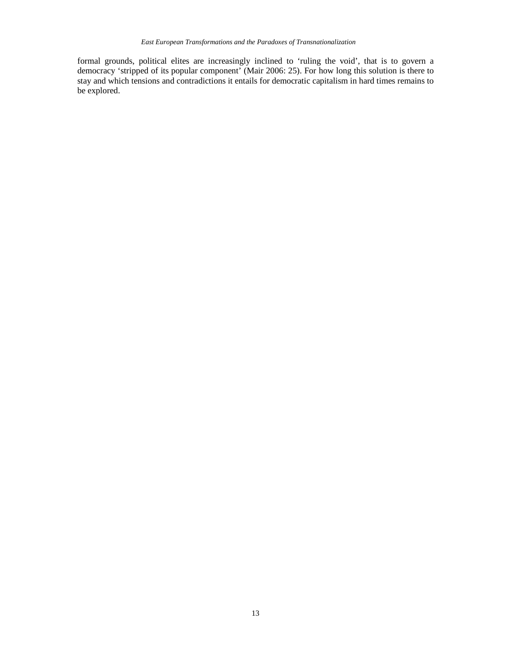formal grounds, political elites are increasingly inclined to 'ruling the void', that is to govern a democracy 'stripped of its popular component' (Mair 2006: 25). For how long this solution is there to stay and which tensions and contradictions it entails for democratic capitalism in hard times remains to be explored.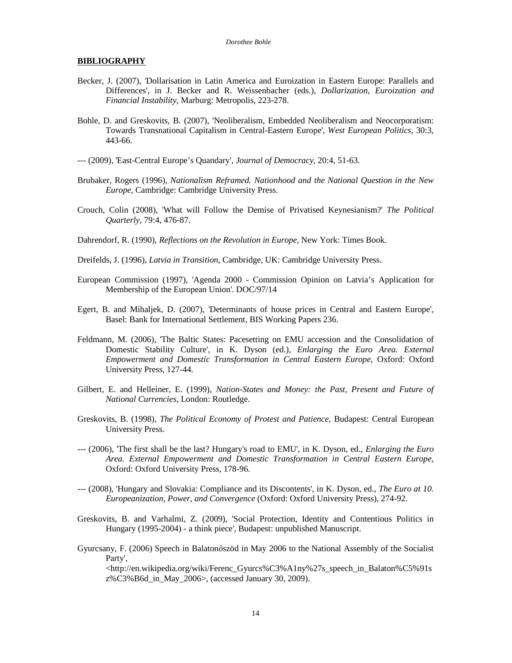#### **BIBLIOGRAPHY**

- Becker, J. (2007), 'Dollarisation in Latin America and Euroization in Eastern Europe: Parallels and Differences', in J. Becker and R. Weissenbacher (eds.), *Dollarization, Euroization and Financial Instability,* Marburg: Metropolis, 223-278.
- Bohle, D. and Greskovits, B. (2007), 'Neoliberalism, Embedded Neoliberalism and Neocorporatism: Towards Transnational Capitalism in Central-Eastern Europe', *West European Politics,* 30:3, 443-66.
- --- (2009), 'East-Central Europe's Quandary', *Journal of Democracy,* 20:4, 51-63.
- Brubaker, Rogers (1996), *Nationalism Reframed. Nationhood and the National Question in the New Europe,* Cambridge: Cambridge University Press.
- Crouch, Colin (2008), 'What will Follow the Demise of Privatised Keynesianism?' *The Political Quarterly,* 79:4, 476-87.
- Dahrendorf, R. (1990), *Reflections on the Revolution in Europe,* New York: Times Book.
- Dreifelds, J. (1996), *Latvia in Transition,* Cambridge, UK: Cambridge University Press.
- European Commission (1997), 'Agenda 2000 Commission Opinion on Latvia's Application for Membership of the European Union'. DOC/97/14
- Egert, B. and Mihaljek, D. (2007), 'Determinants of house prices in Central and Eastern Europe', Basel: Bank for International Settlement, BIS Working Papers 236.
- Feldmann, M. (2006), 'The Baltic States: Pacesetting on EMU accession and the Consolidation of Domestic Stability Culture', in K. Dyson (ed.), *Enlarging the Euro Area. External Empowerment and Domestic Transformation in Central Eastern Europe,* Oxford: Oxford University Press, 127-44.
- Gilbert, E. and Helleiner, E. (1999), *Nation-States and Money: the Past, Present and Future of National Currencies,* London: Routledge.
- Greskovits, B. (1998), *The Political Economy of Protest and Patience,* Budapest: Central European University Press.
- --- (2006), 'The first shall be the last? Hungary's road to EMU', in K. Dyson, ed., *Enlarging the Euro Area. External Empowerment and Domestic Transformation in Central Eastern Europe,* Oxford: Oxford University Press, 178-96.
- --- (2008), 'Hungary and Slovakia: Compliance and its Discontents', in K. Dyson, ed., *The Euro at 10. Europeanization, Power, and Convergence* (Oxford: Oxford University Press), 274-92.
- Greskovits, B. and Varhalmi, Z. (2009), 'Social Protection, Identity and Contentious Politics in Hungary (1995-2004) - a think piece', Budapest: unpublished Manuscript.
- Gyurcsany, F. (2006) Speech in Balatonőszöd in May 2006 to the National Assembly of the Socialist Party',

<http://en.wikipedia.org/wiki/Ferenc\_Gyurcs%C3%A1ny%27s\_speech\_in\_Balaton%C5%91s z%C3%B6d\_in\_May\_2006>, (accessed January 30, 2009).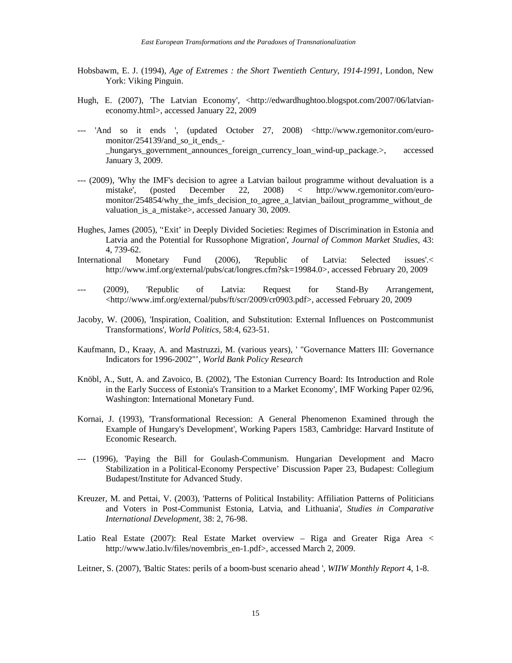- Hobsbawm, E. J. (1994), *Age of Extremes : the Short Twentieth Century, 1914-1991,* London, New York: Viking Pinguin.
- Hugh, E. (2007), 'The Latvian Economy', <http://edwardhughtoo.blogspot.com/2007/06/latvianeconomy.html>, accessed January 22, 2009
- --- 'And so it ends ', (updated October 27, 2008) <http://www.rgemonitor.com/euromonitor/254139/and so it ends hungarys government announces foreign currency loan wind-up package.>, accessed January 3, 2009.
- --- (2009), 'Why the IMF's decision to agree a Latvian bailout programme without devaluation is a mistake', (posted December 22, 2008) < http://www.rgemonitor.com/euromonitor/254854/why\_the\_imfs\_decision\_to\_agree\_a\_latvian\_bailout\_programme\_without\_de valuation is a mistake>, accessed January 30, 2009.
- Hughes, James (2005), ''Exit' in Deeply Divided Societies: Regimes of Discrimination in Estonia and Latvia and the Potential for Russophone Migration', *Journal of Common Market Studies,* 43: 4, 739-62.
- International Monetary Fund (2006), 'Republic of Latvia: Selected issues'.< http://www.imf.org/external/pubs/cat/longres.cfm?sk=19984.0>, accessed February 20, 2009
- --- (2009), 'Republic of Latvia: Request for Stand-By Arrangement, <http://www.imf.org/external/pubs/ft/scr/2009/cr0903.pdf>, accessed February 20, 2009
- Jacoby, W. (2006), 'Inspiration, Coalition, and Substitution: External Influences on Postcommunist Transformations', *World Politics,* 58:4, 623-51.
- Kaufmann, D., Kraay, A. and Mastruzzi, M. (various years), ' "Governance Matters III: Governance Indicators for 1996-2002"', *World Bank Policy Research*
- Knöbl, A., Sutt, A. and Zavoico, B. (2002), 'The Estonian Currency Board: Its Introduction and Role in the Early Success of Estonia's Transition to a Market Economy', IMF Working Paper 02/96, Washington: International Monetary Fund.
- Kornai, J. (1993), 'Transformational Recession: A General Phenomenon Examined through the Example of Hungary's Development', Working Papers 1583, Cambridge: Harvard Institute of Economic Research.
- --- (1996), 'Paying the Bill for Goulash-Communism. Hungarian Development and Macro Stabilization in a Political-Economy Perspective' Discussion Paper 23, Budapest: Collegium Budapest/Institute for Advanced Study.
- Kreuzer, M. and Pettai, V. (2003), 'Patterns of Political Instability: Affiliation Patterns of Politicians and Voters in Post-Communist Estonia, Latvia, and Lithuania', *Studies in Comparative International Development,* 38: 2, 76-98.
- Latio Real Estate (2007): Real Estate Market overview Riga and Greater Riga Area < http://www.latio.lv/files/novembris\_en-1.pdf>, accessed March 2, 2009.

Leitner, S. (2007), 'Baltic States: perils of a boom-bust scenario ahead ', *WIIW Monthly Report* 4, 1-8.